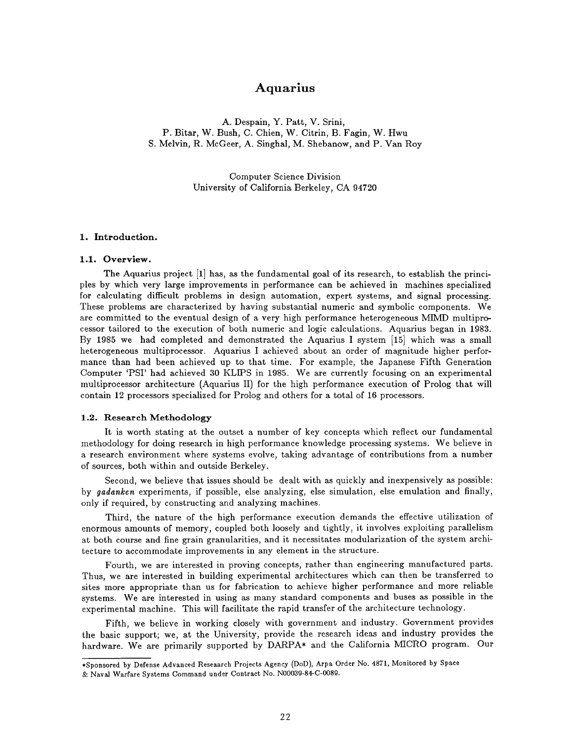# **Aquarius**

A. Despain, Y. Patt, V. Srini, P. Bitar, W. Bush, C. Chien, W. Citrin, B. Fagin, W. Hwu S. Melvin, R. McGeer, A. Singhal, M. Shebanow, and P. Van Roy

> Computer Science Division University of California Berkeley, CA 94720

## 1. **Introduction.**

#### **1.1. Overview.**

The Aquarius project [1] has, as the fundamental goal of its research, to establish the principles by which very large improvements in performance can be achieved in machines specialized for calculating difficult problems in design automation, expert systems, and signal processing. These problems are characterized by having substantial numeric and symbolic components. We are committed to the eventual design of a very high performance heterogeneous MIMD multiprocessor tailored to the execution of both numeric and logic calculations. Aquarius began in 1983. By 1985 we had completed and demonstrated the Aquarius I system [15] which was a small heterogeneous multiprocessor. Aquarius I achieved about an order of magnitude higher performance than had been achieved up to that time. For example, the Japanese Fifth Generation Computer 'PSI' had achieved 30 KLIPS in 1985. We are currently focusing on an experimental multiprocessor architecture (Aquarius II) for the high performance execution of Prolog that will contain 12 processors specialized for Prolog and others for a total of 16 processors.

## 1.2. Research Methodology

It is worth stating at the outset a number of key concepts which reflect our fundamental methodology for doing research in high performance knowledge processing systems. We believe in a research environment where systems evolve, taking advantage of contributions from a number of sources, both within and outside Berkeley.

Second, we believe that issues should be dealt with as quickly and inexpensively as possible: by *gadanken* experiments, if possible, else analyzing, else simulation, else emulation and finally, only if required, by constructing and analyzing machines.

Third, the nature of the high performance execution demands the effective utilization of enormous amounts of memory, coupled both loosely and tightly, it involves exploiting parallelism at both course and fine grain granularities, and it necessitates modularization of the system architecture to accommodate improvements in any element in the structure.

Fourth, we are interested in proving concepts, rather than engineering manufactured parts. Thus, we are interested in building experimental architectures which can then be transferred to sites more appropriate than us for fabrication to achieve higher performance and more reliable systems. We are interested in using as many standard components and buses as possible in the experimental machine. This will facilitate the rapid transfer of the architecture technology.

Fifth, we believe in working closely with government and industry. Government provides the basic support; we, at the University, provide the research ideas and industry provides the hardware. We are primarily supported by DARPA\* and the California MICRO program. Our

<sup>\*</sup>Sponsored by Defense Advanced Reseaareh Projects Agency (DoD), Arpa Order No. 4871, Monitored by Space

<sup>&</sup>amp; Naval Warfare Systems Command under Contract No. N00039-84-C-0089.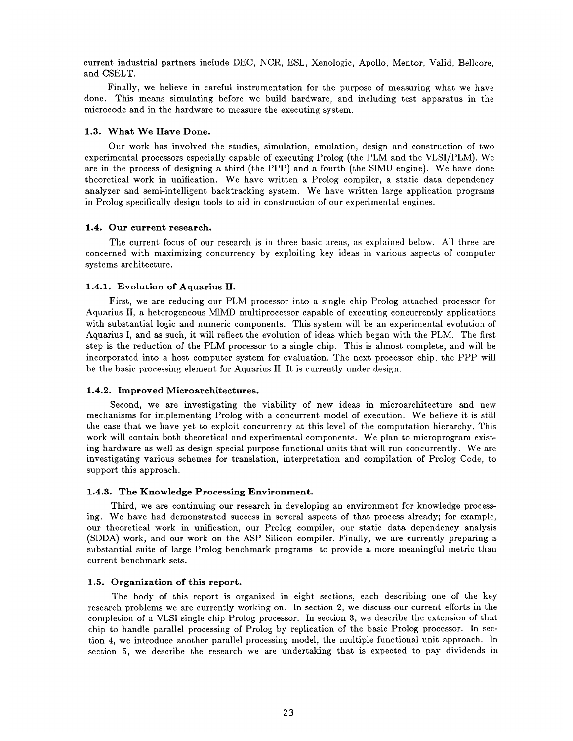**current** industrial partners include DEC, NCR, ESL, Xenologic, Apollo, Mentor, Valid, Bellcore, and CSELT.

Finally, we believe in careful instrumentation for the purpose of measuring what we have done. This means simulating before we build hardware, and including test apparatus in the microcode and in the hardware to measure the executing system.

## **1.3. What We Have Done.**

Our work has involved the studies, simulation, emulation, design and construction of two experimental processors especially capable of executing Prolog (the PLM and the VLSI/PLM). We are in the process of designing a third (the PPP) and a fourth (the SIMU engine). We have done theoretical work in unification. We have written a Prolog compiler, a static data dependency analyzer and semi-intelligent backtracking system. We have written large application programs in Prolog specifically design tools to aid in construction of our experimental engines.

## **1.4. Our current research.**

The current focus of our research is in three basic areas, as explained below. All three are concerned with maximizing concurrency by exploiting key ideas in various aspects of computer systems architecture.

### **1.4.1. Evolution of Aquarius II.**

First, we are reducing our PLM processor into a single chip Prolog attached processor for Aquarius II, a heterogeneous MIMD multiprocessor capable of executing concurrently applications with substantial logic and numeric components. This system will be an experimental evolution of Aquarius I, and as such, it will reflect the evolution of ideas which began with the PLM. The first step is the reduction of the PLM processor to a single chip. This is almost complete, and will be incorporated into a host computer system for evaluation. The next processor chip, the PPP will be the basic processing element for Aquarius II. It is currently under design.

### **1.4.2. Improved Microarchltectures.**

Second, we are investigating the viability of new ideas in microarchitecture and new mechanisms for implementing Prolog with a concurrent model of execution. We believe it is still the case that we have yet to exploit concurrency at this level of the computation hierarchy. This work will contain both theoretical and experimental components. We plan to microprogram existing hardware as well as design special purpose functional units that will run concurrently. We are investigating various schemes for translation, interpretation and compilation of Prolog Code, to support this approach.

### **1.4.3. The Knowledge Processing Environment.**

Third, we are continuing our research in developing an environment for knowledge processing. We have had demonstrated success in several aspects of that process already; for example, our theoretical work in unification, our Prolog compiler, our static data dependency analysis (SDDA) work, and our work on the ASP Silicon compiler. Finally, we are currently preparing a substantial suite of large Prolog benchmark programs to provide a more meaningful metric than current benchmark sets.

### **1.5. Organization of this report.**

The body of this report is organized in eight sections, each describing one of the key research problems we are currently working on. In section 2, we discuss our current efforts in the completion of a VLSI single chip Prolog processor. In section 3, we describe the extension of that chip to handle parallel processing of Prolog by replication of the basic Prolog processor. In section 4, we introduce another parallel processing model, the multiple functional unit approach. In section 5, we describe the research we are undertaking that is expected to pay dividends in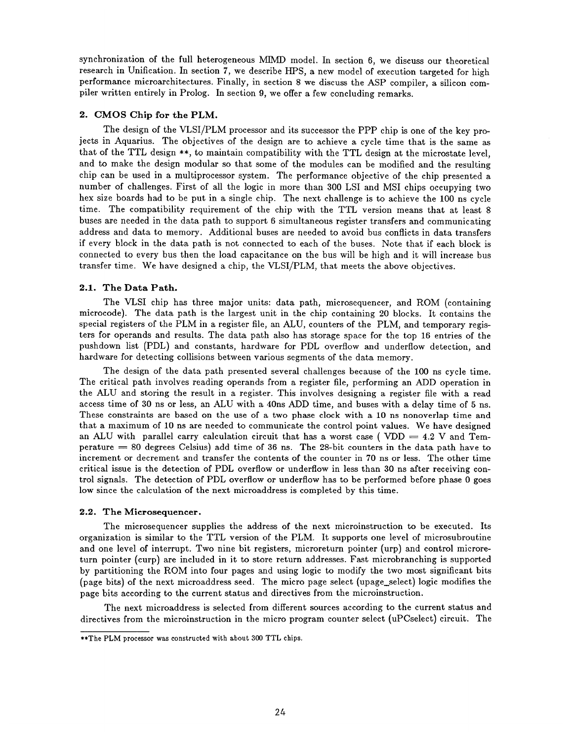synchronization of the full heterogeneous MIMD model. In section 6, we discuss our theoretical research in Unification. In section 7, we describe HPS, a new model of execution targeted for high performance microarchitectures. Finally, in section 8 we discuss the ASP compiler, a silicon compiler written entirely in Prolog. In section 9, we offer a few concluding remarks.

## **2. CMOS Chip for the PLM.**

The design of the VLSI/PLM processor and its successor the PPP chip is one of the key projects in Aquarius. The objectives of the design are to achieve a cycle time that is the same as that of the TTL design \*\*, to maintain compatibility with the TTL design at the microstate level, and to make the design modular so that some of the modules can be modified and the resulting chip can be used in a multiprocessor system. The performance objective of the chip presented a number of challenges. First of all the logic in more than 300 LSI and MSI chips occupying two hex size boards had to be put in a single chip. The next challenge is to achieve the 100 ns cycle time. The compatibility requirement of the chip with the TTL version means that at least 8 buses are needed in the data path to support 6 simultaneous register transfers and communicating address and data to memory. Additional buses are needed to avoid bus conflicts in data transfers if every block in the data path is not connected to each of the buses. Note that if each block is connected to every bus then the load capacitance on the bus will be high and it will increase bus transfer time. We have designed a chip, the VLSI/PLM, that meets the above objectives.

# **2.1. The Data Path.**

The VLSI chip has three major units: data path, microsequencer, and ROM (containing microcode). The data path is the largest unit in the chip containing 20 blocks. It contains the special registers of the PLM in a register file, an ALU, counters of the PLM, and temporary registers for operands and results. The data path also has storage space for the top 16 entries of the pushdown list (PDL) and constants, hardware for PDL overflow and underflow detection, and hardware for detecting collisions between various segments of the data memory.

The design of the data path presented several challenges because of the 100 ns cycle time. The critical path involves reading operands from a register file, performing an ADD operation in the ALU and storing the result in a register. This involves designing a register file with a read access time of 30 ns or less, an ALU with a 40ns ADD time, and buses with a delay time of 5 as. These constraints are based on the use of a two phase clock with a 10 ns nonoverlap time and that a maximum of 10 ns are needed to communicate the control point values. We have designed an ALU with parallel carry calculation circuit that has a worst case ( $VDD = 4.2$  V and Temperature  $= 80$  degrees Celsius) add time of 36 ns. The 28-bit counters in the data path have to increment or decrement and transfer the contents of the counter in 70 ns or less. The other time critical issue is the detection of PDL overflow or underflow in less than 30 ns after receiving control signals. The detection of PDL overflow or underflow has to be performed before phase 0 goes low since the calculation of the next microaddress is completed by this time.

### **2.2. The Microsequencer.**

The microsequencer supplies the address of the next microinstruction to be executed. Its organization is similar to the TTL version of the PLM. It supports one level of microsubroutine and one level of interrupt. Two nine bit registers, microreturn pointer (urp) and control microreturn pointer (curp) are included in it to store return addresses. Fast microbranching is supported by partitioning the ROM into four pages and using logic to modify the two most significant bits (page bits) of the next microaddress seed. The micro page select (upage\_select) logic modifies the page bits according to the current status and directives from the microinstruction.

The next microaddress is selected from different sources according to the current status and directives from the microinstruction in the micro program counter select (uPCselect) circuit. The

<sup>\*\*</sup>The PLM processor was constructed with about 300 TTL chips.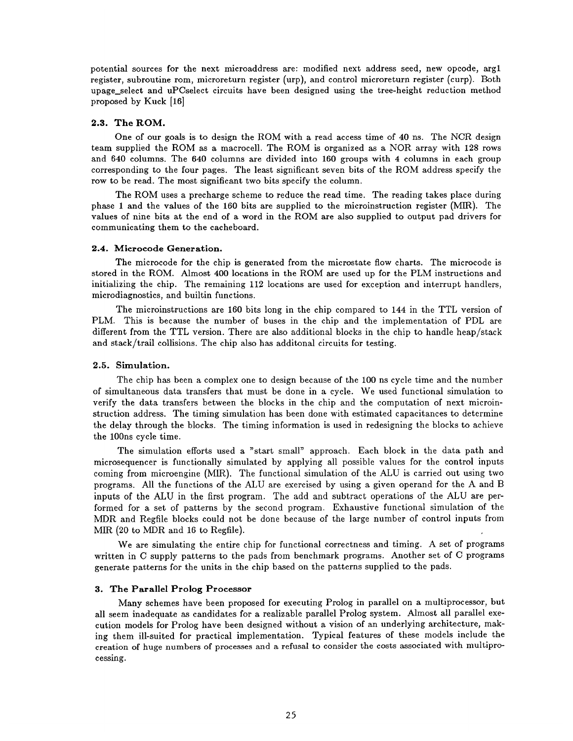potential sources for the next microaddress are: modified next address seed, new opcode, argl register, subroutine rom, microreturn register (urp), and control microreturn register (curp). Both upage\_select and uPCselect circuits have been designed using the tree-height reduction method proposed by Kuck [16]

## 2.3. The ROM.

One of our goals is to design the ROM with a read access time of 40 ns. The NCR design team supplied the ROM as a macrocell. The ROM is organized as a NOR array with 128 rows and 640 columns. The 640 columns are divided into 160 groups with 4 columns in each group corresponding to the four pages. The least significant seven bits of the ROM address specify the row to be read. The most significant two bits specify the column.

The ROM uses a precharge scheme to reduce the read time. The reading takes place during phase 1 and the values of the 160 bits are supplied to the microinstruction register (MIR). The values of nine bits at the end of a word in the ROM are also supplied to output pad drivers for communicating them to the cacheboard.

## **2.4. Microcode Generation.**

The microcode for the chip is generated from the microstate flow charts. The microcode is stored in the ROM. Almost 400 locations in the ROM are used up for the PLM instructions and initializing the chip. The remaining 112 locations are used for exception and interrupt handlers, microdiagnostics, and builtin functions.

The microinstructions are 160 bits long in the chip compared to 144 in the TTL version of PLM. This is because the number of buses in the chip and the implementation of PDL are different from the TTL version. There are also additional blocks in the chip to handle heap/stack and stack/trail collisions. The chip also has additonal circuits for testing.

## **2.5. Simulation.**

The chip has been a complex one to design because of the 100 ns cycle time and the number of simultaneous data transfers that must be done in a cycle. We used functional simulation to verify the data transfers between the blocks in the chip and the computation of next microinstruction address. The timing simulation has been done with estimated capacitances to determine the delay through the blocks. The timing information is used in redesigning the blocks to achieve the lOOns cycle time.

The simulation efforts used a "start small" approach. Each block in the data path and microsequencer is functionally simulated by applying all possible values for the control inputs coming from microengine (MIR). The functional simulation of the ALU is carried out using two programs. All the functions of the ALU are exercised by using a given operand for the A and B inputs of the ALU in the first program. The add and subtract operations of the ALU are performed for a set of patterns by the second program. Exhaustive functional simulation of the MDR and Regfile blocks could not be done because of the large number of control inputs from MIR (20 to MDR and 16 to Regfile).

We are simulating the entire chip for functional correctness and timing. A set of programs written in C supply patterns to the pads from benchmark programs. Another set of C programs generate patterns for the units in the chip based on the patterns supplied to the pads.

# **3. The Parallel Prolog Processor**

Many schemes have been proposed for executing Prolog in parallel on a multiprocessor, but all seem inadequate as candidates for a realizable parallel Prolog system. Almost all parallel execution models for Prolog have been designed without a vision of an underlying architecture, making them ill-suited for practical implementation. Typical features of these models include the creation of huge numbers of processes and a refusal to consider the costs associated with multiprocessing.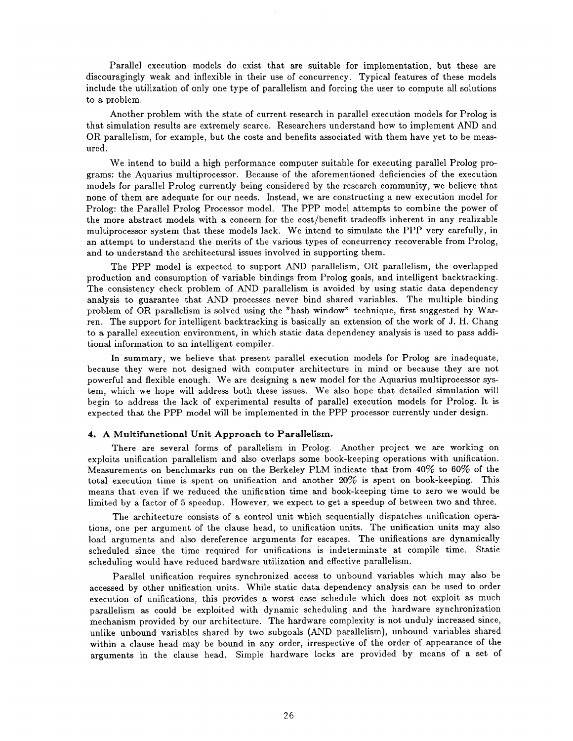Parallel execution models do exist that are suitable for implementation, but these are discouragingly weak and inflexible in their use of concurrency. Typical features of these models include the utilization of only one type of parallelism and forcing the user to compute all solutions to a problem.

Another problem with the state of current research in parallel execution models for Prolog is that simulation results are extremely scarce. Researchers understand how to implement AND and OR parallelism, for example, but the costs and benefits associated with them have yet to be measured.

We intend to build a high performance computer suitable for executing parallel Prolog programs: the Aquarius multiprocessor. Because of the aforementioned deficiencies of the execution models for parallel Prolog currently being considered by the research community, we believe that none of them are adequate for our needs. Instead, we are constructing a new execution model for Prolog: the Parallel Prolog Processor model. The PPP model attempts to combine the power of the more abstract models with a concern for the cost/benefit tradeoffs inherent in any realizable multiprocessor system that these models lack. We intend to simulate the PPP very carefully, in an attempt to understand the merits of the various types of concurrency recoverable from Prolog, and to understand the architectural issues involved in supporting them.

The PPP model is expected to support AND parallelism, OR parallelism, the overlapped production and consumption of variable bindings from Prolog goals, and intelligent backtracking. The consistency check problem of AND parallelism is avoided by using static data dependency analysis to guarantee that AND processes never bind shared variables. The multiple binding problem of OR parallelism is solved using the "hash window" technique, first suggested by Warren. The support for intelligent backtracking is basically an extension of the work of J. H. Chang to a parallel execution environment, in which static data dependency analysis is used to pass additional information to an intelligent compiler.

In summary, we believe that present parallel execution models for Prolog are inadequate, because they were not designed with computer architecture in mind or because they are not powerful and flexible enough. We are designing a new model for the Aquarius multiprocessor system, which we hope will address both these issues. We also hope that detailed simulation will begin to address the lack of experimental results of parallel execution models for Prolog. It is expected that the PPP model will be implemented in the PPP processor currently under design.

### 4. A Multifunctional Unit Approach to Parallelism.

There are several forms of parallelism in Prolog. Another project we are working on exploits unification parallelism and also overlaps some book-keeping operations with unification. Measurements on benchmarks run on the Berkeley PLM indicate that from  $40\%$  to  $60\%$  of the total execution time is spent on unification and another  $20\%$  is spent on book-keeping. This means that even if we reduced the unification time and book-keeping time to zero we would be limited by a factor of 5 speedup. However, we expect to get a speedup of between two and three.

The architecture consists of a control unit which sequentially dispatches unification operations, one per argument of the clause head, to unification units. The unification units may also load arguments and also dereference arguments for escapes. The unifications are dynamically scheduled since the time required for unifications is indeterminate at compile time. Static scheduling would have reduced hardware utilization and effective parallelism.

Parallel unification requires synchronized access to unbound variables which may also be accessed by other unification units. While static data dependency analysis can be used to order execution of unifications, this provides a worst case schedule which does not exploit as much parallelism as could be exploited with dynamic scheduling and the hardware synchronization mechanism provided by our architecture. The hardware complexity is not unduly increased since, unlike unbound variables shared by two subgoals (AND parallelism), unbound variables shared within a clause head may be bound in any order, irrespective of the order of appearance of the arguments in the clause head. Simple hardware locks are provided by means of a set of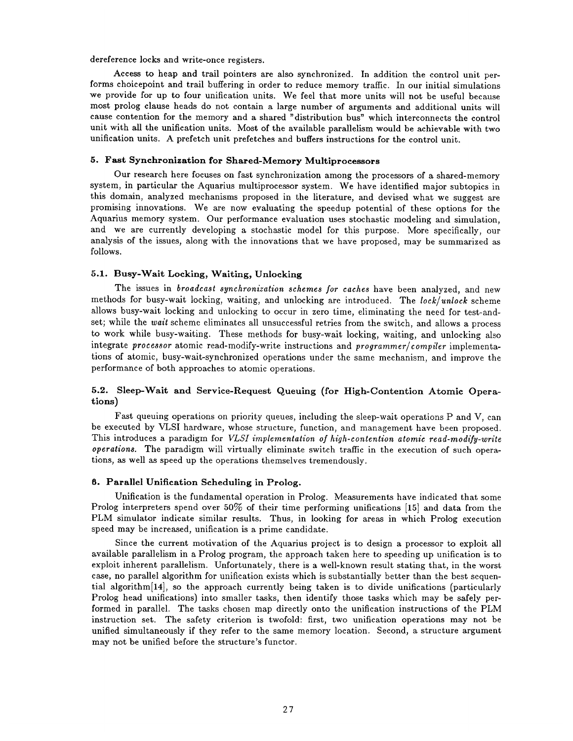dereference locks and write-once registers.

**Access to** heap and trail pointers are also synchronized. In addition the control unit performs choicepoint and trail buffering in order to reduce memory traffic. In our initial simulations we provide for up to four unification units. We feel that more units will not be useful because most prolog clause heads do not contain a large number of arguments and additional units will cause contention for the memory and a shared "distribution bus" which interconnects the control unit with all the unification units. Most of the available parallelism would be achievable with two unification units. A prefetch unit prefetches and buffers instructions for the control unit.

## **5. Fast Synchronization for Shared-Memory Multlprocessors**

**Our** research here focuses on fast synchronization among the processors of a shared-memory system, in particular the Aquarius multiprocessor system. We have identified major subtopics in this domain, analyzed mechanisms proposed in the literature, and devised what we suggest are promising innovations. We are now evaluating the speedup potential of these options for the Aquarius memory system. Our performance evaluation uses stochastic modeling and simulation, and we are currently developing a stochastic model for this purpose. More specifically, our analysis of the issues, along with the innovations that we have proposed, may be summarized as follows.

# **5.1. Busy-Wait Locking, Waiting, Unlocking**

The issues in *broadcast synchronization schemes for caches* have been analyzed, and new methods for busy-wait locking, waiting, and unlocking are introduced. The *lock/unlock* scheme allows busy-wait locking and unlocking to occur in zero time, eliminating the need for test-andset; while the *wait* scheme eliminates all unsuccessful retries from the switch, and allows a process to work while busy-waiting. These methods for busy-wait locking, waiting, and unlocking also integrate *processor* atomic read-modify-write instructions and *programmer/compiler* implementations of atomic, busy-wait-synchronized operations under the same mechanism, and improve the performance of both approaches to atomic operations.

# 5.2. Sleep-Wait and Service-Request Queuing (for High-Contention Atomic Operations)

Fast queuing operations on priority queues, including the sleep-wait operations P and V, can be executed by VLSI hardware, whose structure, function, and management have been proposed. This introduces a paradigm for *VLSI implementation of high-contention atomic read-modify-write operations.* The paradigm will virtually eliminate switch traffic in the execution of such operations, as well as speed up the operations themselves tremendously.

### **8. Parallel Unification Scheduling in Prolog.**

Unification is the fundamental operation in Prolog. Measurements have indicated that some Prolog interpreters spend over  $50\%$  of their time performing unifications [15] and data from the PLM simulator indicate similar results. Thus, in looking for areas in which Prolog execution speed may be increased, unification is a prime candidate.

Since the current motivation of the Aquarius project is to design a processor to exploit all available parallelism in a Prolog program, the approach taken here to speeding up unification is to exploit inherent parallelism. Unfortunately, there is a well-known result stating that, in the worst case, no parallel algorithm for unification exists which is substantially better than the best sequential algorithm[14], so the approach currently being taken is to divide unifications (particularly Prolog head unifications) into smaller tasks, then identify those tasks which may be safely performed in parallel. The tasks chosen map directly onto the unification instructions of the PLM instruction set. The safety criterion is twofold: first, two unification operations may not be unified simultaneously if they refer to the same memory location. Second, a structure argument may not be unified before the structure's functor.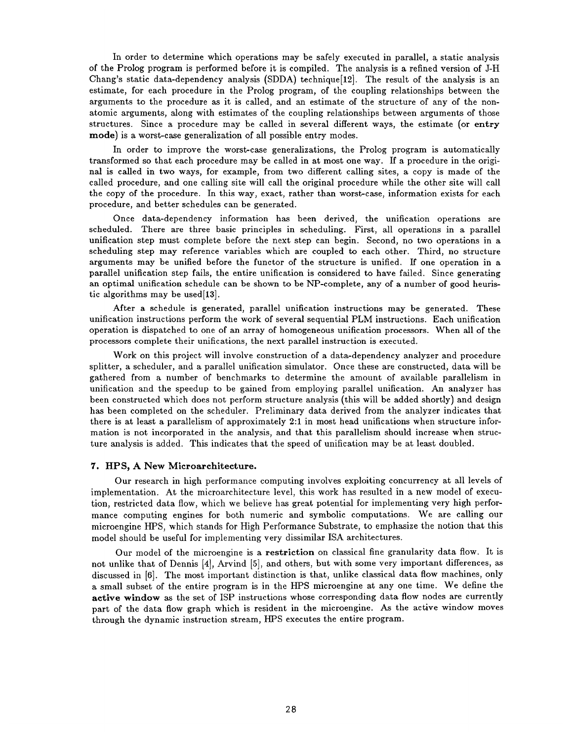In order to determine which operations may be safely executed in parallel, a static analysis of the Prolog program is performed before it is compiled. The analysis is a refined version of J-H Chang's static data-dependency analysis (SDDA) technique[12]. The result of the analysis is an estimate, for each procedure in the Prolog program, of the coupling relationships between the arguments to the procedure as it is called, and an estimate of the structure of any of the nonatomic arguments, along with estimates of the coupling relationships between arguments of those structures. Since a procedure may be called in several different ways, the estimate (or entry mode) is a worst-case generalization of all possible entry modes.

In order to improve the worst-case generalizations, the Prolog program is automatically transformed so that each procedure may be called in at most one way. If a procedure in the original is called in two ways, for example, from two different calling sites, a copy is made of the called procedure, and one calling site will call the original procedure while the other site will call the copy of the procedure. In this way, exact, rather than worst-case, information exists for each procedure, and better schedules can be generated.

Once data-dependency information has been derived, the unification operations are scheduled. There are three basic principles in scheduling. First, all operations in a parallel unification step must complete before the next step can begin. Second, no two operations in a scheduling step may reference variables which are coupled to each other. Third, no structure arguments may be unified before the functor of the structure is unified. If one operation in a parallel unification step fails, the entire unification is considered to have failed. Since generating an optimal unification schedule can be shown to be NP-complete, any of a number of good heuristic algorithms may be used[13].

After a schedule is generated, parallel unification instructions may be generated. These unification instructions perform the work of several sequential PLM instructions. Each unification operation is dispatched to one of an array of homogeneous unification processors. When all of the processors complete their unifications, the next parallel instruction is executed.

Work on this project will involve construction of a data-dependency analyzer and procedure splitter, a scheduler, and a parallel unification simulator. Once these are constructed, data will be gathered from a number of benchmarks to determine the amount of available parallelism in unification and the speedup to be gained from employing parallel unification. An analyzer has been constructed which does not perform structure analysis (this will be added shortly) and design has been completed on the scheduler. Preliminary data derived from the analyzer indicates that there is at least a parallelism of approximately 2:1 in most head unifications when structure information is not incorporated in the analysis, and that this parallelism should increase when structure analysis is added. This indicates that the speed of unification may be at least doubled.

### 7. HPS, A New Mieroarchitecture.

Our research in high performance computing involves exploiting concurrency at all levels of implementation. At the microarchitecture level, this work has resulted in a new model of execution, restricted data flow, which we believe has great potential for implementing very high performance computing engines for both numeric and symbolic computations. We are calling our microengine HPS, which stands for High Performance Substrate, to emphasize the notion that this model should be useful for implementing very dissimilar ISA architectures.

Our model of the microengine is a restriction on classical fine granularity data flow. It is not unlike that of Dennis [4], Arvind [5], and others, but with some very important differences, as discussed in [6]. The most important distinction is that, unlike classical data flow machines, only a small subset of the entire program is in the HPS microengine at any one time. We define the active window as the set of ISP instructions whose corresponding data flow nodes are currently part of the data flow graph which is resident in the microengine. As the active window moves through the dynamic instruction stream, HPS executes the entire program.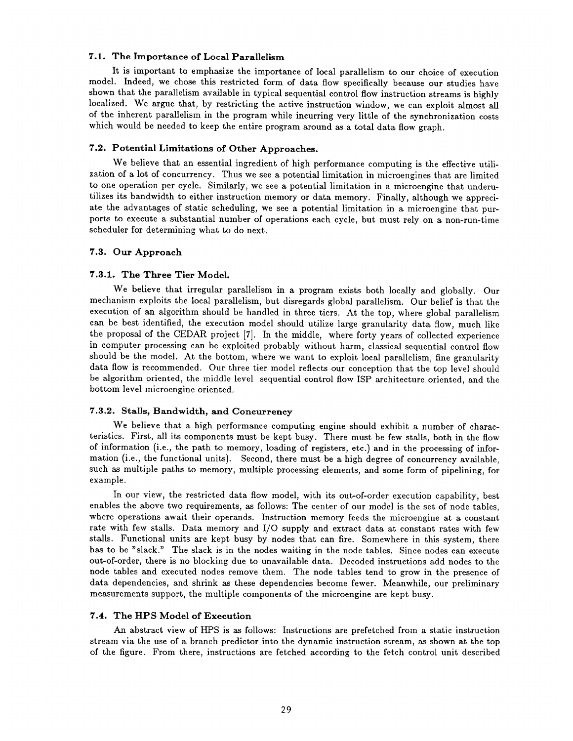### **7.1. The Importance of Local Parallelism**

It is important to emphasize the importance of local parallelism to our choice of execution model. Indeed, we chose this restricted form of data flow specifically because our studies have shown that the parallelism available in typical sequential control flow instruction streams is highly localized. We argue that, by restricting the active instruction window, we can exploit almost all of the inherent parallelism in the program while incurring very little of the synchronization costs which would be needed to keep the entire program around as a total data flow graph.

## **7.2. Potential Limitations of Other Approaches.**

We believe that an essential ingredient of high performance computing is the effective utilization of a lot of concurrency. Thus we see a potential limitation in microengines that are limited to one operation per cycle. Similarly, we see a potential limitation in a microengine that underutilizes its bandwidth to either instruction memory or data memory. Finally, although we appreciate the advantages of static scheduling, we see a potential limitation in a microengine that purports to execute a substantial number of operations each cycle, but must rely on a non-run-time scheduler for determining what to do next.

## **7.3. Our Approach**

# **7.3.1. The Three Tier Model.**

We believe that irregular parallelism in a program exists both locally and globally. Our mechanism exploits the local parallelism, but disregards global parallelism. Our belief is that the execution of an algorithm should be handled in three tiers. At the top, where global parallelism can be best identified, the execution model should utilize large granularity data flow, much like the proposal of the CEDAR project [7]. In the middle, where forty years of collected experience in computer processing can be exploited probably without harm, classical sequential control flow should be the model. At the bottom, where we want to exploit local parallelism, fine granularity data flow is recommended. Our three tier model reflects our conception that the top level should be algorithm oriented, the middle level sequential control flow ISP architecture oriented, and the bottom level microengine oriented.

## **7.3.2. Stalls, Bandwidth, and Concurrency**

We believe that a high performance computing engine should exhibit a number of characteristics. First, all its components must be kept busy. There must be few stalls, both in the flow of information (i.e., the path to memory, loading of registers, etc.) and in the processing of information (i.e., the functional units). Second, there must be a high degree of concurrency available, such as multiple paths to memory, multiple processing elements, and some form of pipelining, for example.

In our view, the restricted data flow model, with its out-of-order execution capability, best enables the above two requirements, as follows: The center of our model is the set of node tables, where operations await their operands. Instruction memory feeds the microengine at a constant rate with few stalls. Data memory and I/O supply and extract data at constant rates with few stalls. Functional units are kept busy by nodes that can fire. Somewhere in this system, there has to be "slack." The slack is in the nodes waiting in the node tables. Since nodes can execute out-of-order, there is no blocking due to unavailable data. Decoded instructions add nodes to the node tables and executed nodes remove them. The node tables tend to grow in the presence of data dependencies, and shrink as these dependencies become fewer. Meanwhile, our preliminary measurements support, the multiple components of the microengine are kept busy.

### **7.4. The HPS Model of Execution**

An abstract view of HPS is as follows: Instructions are prefetched from a static instruction stream via the use of a branch predictor into the dynamic instruction stream, as shown at the top of the figure. From there, instructions are fetched according to the fetch control unit described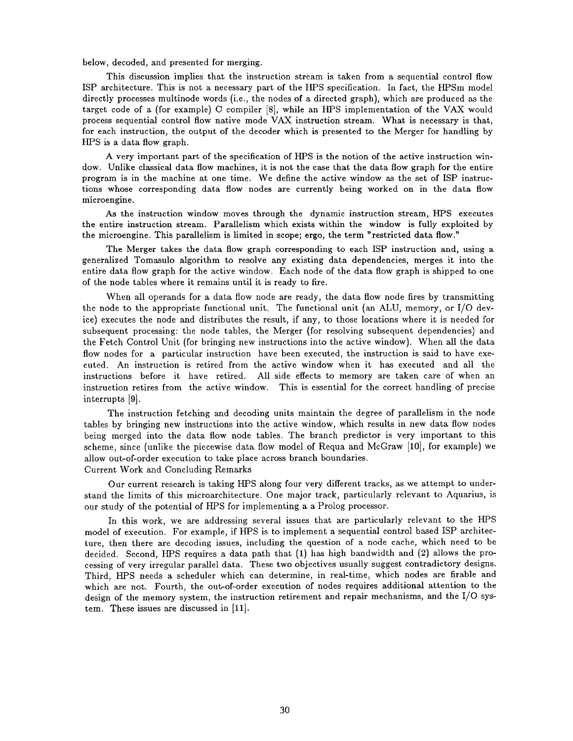### below, decoded, and presented for merging.

This discussion implies that the instruction stream is taken from a sequential control flow ISP architecture. This is not a necessary part of the HPS specification. In fact, the HPSm model directly processes multinode words (i.e., the nodes of a directed graph), which are produced as the target code of a (for example) C compiler [8], while an HPS implementation of the VAX would process sequential control flow native mode VAX instruction stream. What is necessary is that, for each instruction, the output of the decoder which is presented to the Merger for handling by HPS is a data flow graph.

A very important part of the specification of HPS is the notion of the active instruction window. Unlike classical data flow machines, it is not the case that the data flow graph for the entire program is in the machine at one time. We define the active window as the set of ISP instructions whose corresponding data flow nodes are currently being worked on in the data flow microengine.

.As the instruction window moves through the dynamic instruction stream, HPS executes the entire instruction stream. Parallelism which exists within the window is fully exploited by the microengine. This parallelism is limited in scope; ergo, the term "restricted data flow."

The Merger takes the data flow graph corresponding to each ISP instruction and, using a generalized Tomasulo algorithm to resolve any existing data dependencies, merges it into the entire data flow graph for the active window. Each node of the data flow graph is shipped to one of the node tables where it remains until it is ready to fire.

When all operands for a data flow node are ready, the data flow node fires by transmitting the node to the appropriate functional unit. The functional unit (an ALU, memory, or I/O device) executes the node and distributes the result, if any, to those locations where it is needed for subsequent processing: the node tables, the Merger (for resolving subsequent dependencies) and the Fetch Control Unit (for bringing new instructions into the active window). When all the data flow nodes for a particular instruction have been executed, the instruction is said to have executed. An instruction is retired from the active window when it has executed and all the instructions before it have retired. All side effects to memory are taken care of when an instruction retires from the active window. This is essential for the correct handling of precise interrupts [9].

The instruction fetching and decoding units maintain the degree of parallelism in the node tables by bringing new instructions into the active window, which results in new data flow nodes being merged into the data flow node tables. The branch predictor is very important to this scheme, since (unlike the piecewise data flow model of Requa and McGraw [10], for example) we allow out-of-order execution to take place across branch boundaries. Current Work and Concluding Remarks

Our current research is taking HPS along four very different tracks, as we attempt to understand the limits of this microarchitecture. One major track, particularly relevant to Aquarius, is our study of the potential of HPS for implementing a a Prolog processor.

In this work, we are addressing several issues that are particularly relevant to the HPS model of execution. For example, if HPS is to implement a sequential control based ISP architecture, then there are decoding issues, including the question of a node cache, which need to be decided. Second, tIPS requires a data path that (1) has high bandwidth and (2) allows the processing of very irregular parallel data. These two objectives usually suggest contradictory designs. Third, HPS needs a scheduler which can determine, in real-time, which nodes are firable and which are not. Fourth, the out-of-order execution of nodes requires additional attention to the design of the memory system, the instruction retirement and repair mechanisms, and the I/O system. These issues are discussed in [11].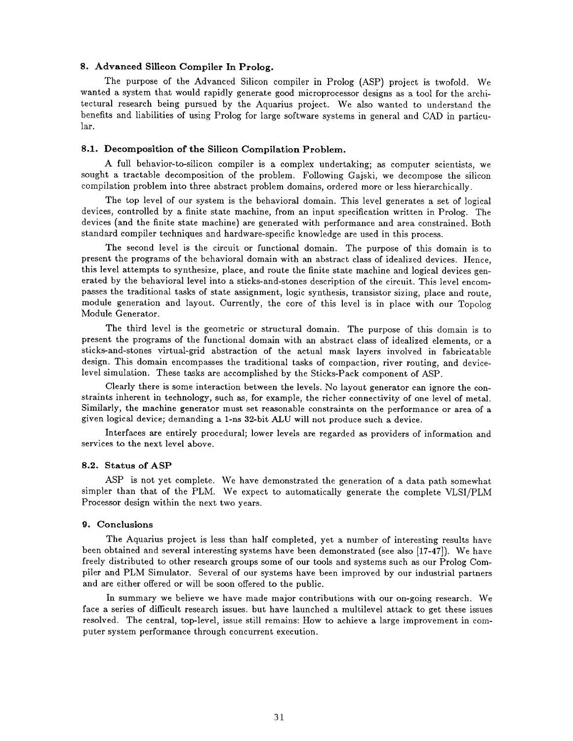## **8. Advanced Silicon Compiler In Prolog.**

The purpose of the Advanced Silicon compiler in Prolog (ASP) project is twofold. We wanted a system that would rapidly generate good microprocessor designs as a tool for the architectural research being pursued by the Aquarius project. We also wanted to understand the benefits and liabilities of using Prolog for large software systems in general and CAD in particular.

## **8.1. Decomposition of the Silicon Compilation Problem.**

A full behavior-to-silicon compiler is a complex undertaking; as computer scientists, we sought a tractable decomposition of the problem. Following Gajski, we decompose the silicon compilation problem into three abstract problem domains, ordered more or less hierarchically.

The top level of our system is the behavioral domain. This level generates a set of logical devices, controlled by a finite state machine, from an input specification written in Prolog. The devices (and the finite state machine) are generated with performance and area constrained. Both standard compiler techniques and hardware-specific knowledge are used in this process.

The second level is the circuit or functional domain. The purpose of this domain is to present the programs of the behavioral domain with an abstract class of idealized devices. Hence, this level attempts to synthesize, place, and route the finite state machine and logical devices generated by the behavioral level into a sticks-and-stones description of the circuit. This level encompasses the traditional tasks of state assignment, logic synthesis, transistor sizing, place and route, module generation and layout. Currently, the core of this level is in place with our Topolog Module Generator.

The third level is the geometric or structural domain. The purpose of this domain is to present the programs of the functional domain with an abstract class of idealized elements, or a sticks-and-stones virtual-grid abstraction of the actual mask layers involved in fabricatable design. This domain encompasses the traditional tasks of compaction, river routing, and devicelevel simulation. These tasks are accomplished by the Sticks-Pack component of ASP.

Clearly there is some interaction between the levels. No layout generator can ignore the constraints inherent in technology, such as, for example, the richer connectivity of one level of metal. Similarly, the machine generator must set reasonable constraints on the performance or area of a given logical device; demanding a 1-ns 32-bit A\_LU will not produce such a device.

Interfaces are entirely procedural; lower levels are regarded as providers of information and services to the next level above.

# 8.2. Status of **ASP**

ASP is not yet complete. We have demonstrated the generation of a data path somewhat simpler than that of the PLM. We expect to automatically generate the complete VLSI/PLM Processor design within the next two years.

## 9. **Conclusions**

The Aquarius project is less than half completed, yet a number of interesting results have been obtained and several interesting systems have been demonstrated (see also [17-47]). We have freely distributed to other research groups some of our tools and systems such as our Prolog Compiler and PLM Simulator. Several of our systems have been improved by our industrial partners and are either offered or will be soon offered to the public.

In summary we believe we have made major contributions with our on-going research. We face a series of difficult research issues, but have launched a multilevel attack to get these issues resolved. The central, top-level, issue still remains: How to achieve a large improvement in computer system performance through concurrent execution.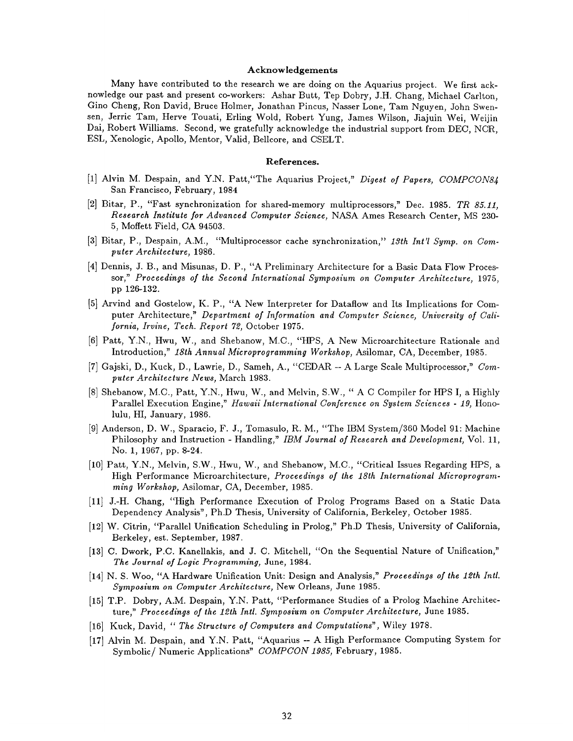### **Acknow ledgements**

Many have contributed to the research we are doing on the Aquarius project. We first acknowledge our past and present co-workers: Ashar Butt, Tep Dobry, J.H. Chang, Michael Carlton, Gino Cheng, Ron David, Bruce Holmer, Jonathan Pincus, Nasser Lone, Tam Nguyen, John Swensen, Jerric Tam, Herve Touati, Erling Wold, Robert Yung, James Wilson, Jiajuin Wei, Weijin Dai, Robert Williams. Second, we gratefully acknowledge the industrial support from DEC, NCR, ESL, Xenologic, Apollo, Mentor, Valid, Bellcore, and CSELT.

### **References.**

- [1] Alvin M. Despain, and Y.N. Patt,"The Aquarius Project," *Digest of Papers, COMPCON8~*  San Francisco, February, 1984
- [2] Bitar, P., "Fast synchronization for shared-memory multiprocessors," Dec. 1985. *TR 85.11, Research Institute for Advanced Computer Science,* NASA Ames Research Center, MS 230- 5, Moffett Field, CA 94503.
- [3] Bitar, P., Despain, A.M., "Multiprocessor cache synchronization," *13th Int'l Symp. on Computer Architecture,* 1986.
- [4] Dennis, J. B., and Misunas, D. P., "A Preliminary Architecture for a Basic Data Flow Processor," *Proceedings of the Second International Symposium on Computer Architecture,* 1975, pp 126-132.
- [5] Arvind and Gostelow, K. P., *"A* New Interpreter for Dataflow and Its Implications for Computer Architecture," *Department of Information and Computer Science, University of California, Irvine, Tech. Report 72,* October 1975.
- [6] Patt, Y.N., Hwu, W., and Shebanow, M.C., "tIPS, A New Microarchitecture Rationale and Introduction," *18th Annual Microprogramming Workshop,* Asilomar, CA, December, 1985.
- [7] Gajski, D., Kuck, D., Lawrie, D., Sameh, A., "CEDAR -- A Large Scale Multiprocessor," *Computer Architecture News,* March 1983.
- [8] Shebanow, M.C., Part, Y.N., Hwu, W., and Melvin, S.W., " A C Compiler for HPS I, a Highly Parallel Execution Engine," *Hawaii International Conference on System Sciences - 19*, Honolulu, HI, January, 1986.
- [9] Anderson, D. W., Sparacio, F. J., Tomasulo, R. M., "The IBM System/360 Model 91: Machine Philosophy and Instruction - Handling," *IBM Journal of Research and Development,* Vol. 11, No. 1, 1967, pp. 8-24.
- [10] Part, Y.N., Melvin, S.W., Hwu, W., and Shebanow, M.C., *"Critical* Issues Regarding HPS, a High Performance Microarchitecture, *Proceedings of the 18th International Microprogramming Workshop,* Asilomar, CA, December, 1985.
- [11] J.-H. Chang, "High Performance Execution of Prolog Programs Based on a Static Data Dependency Analysis", Ph.D Thesis, University of California, Berkeley, October 1985.
- [12] W. Citrin, "Parallel Unification Scheduling in Prolog," Ph.D Thesis, University of California, Berkeley, est. September, 1987.
- [13] C. Dwork, P.C. Kanellakis, and J. C. Mitchell, "On the Sequential Nature of Unification," *The Journal of Logic Programming,* June, 1984.
- [14] N. S. Woo, *"A* Hardware Unification Unit: Design and Analysis," *Proceedings of the 12th Intl. Symposium on Computer Architecture,* New Orleans, June 1985.
- [15] T.P. Dobry, A.M. Despain, Y.N. Part, "Performance Studies of a Prolog Machine Architecture," *Proceedings of the 12th Intl. Symposium on Computer Architecture,* June 1985.
- [16] Kuck, David, *" The Structure of Computers and Computations",* Wiley 1978.
- [17] Alvin M. Despain, and Y.N. Patt, "Aquarius -- A High Performance Computing System for Symbolic/Numeric Applications" *COMPCON 1985,* February, 1985.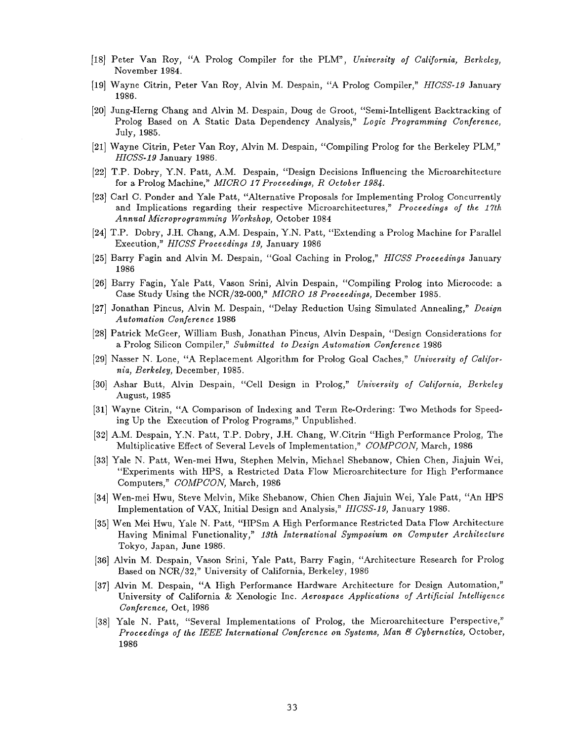- [18] Peter Van Roy, "A Prolog Compiler for the PLM", *University of California, Berkeley,*  November 1984.
- [19] Wayne Citrin, Peter Van Roy, Alvin M. Despain, *"A* Prolog Compiler," *HICSS-19* January 1986.
- [20] Jung-Herng Chang and Alvin M. Despain, Doug de Groot, "Semi-Intelligent Backtracking of Prolog Based on A Static Data Dependency Analysis," *Logic Programming Conference,*  July, 1985.
- [21] Wayne Citrin, Peter Van Roy, Alvin M. Despain, *"Compiling* Prolog for the Berkeley PLM," *HICSS-i 9* January 1986.
- [22] T.P. Dobry, Y.N. Patt, A.M. Despain, "Design Decisions Influencing the Microarchitecture for a Prolog Machine," *MICRO 17Proceedings, R October 1984.*
- [23] Carl C. Ponder and Yale Patt, "Alternative Proposals for Implementing Prolog Concurrently and Implications regarding their respective Microarchitectures," *Proceedings of the 17th Annual Microprogramming Workshop,* October 1984
- [24] T.P. Dobry, J.H. Chang, A.M. Despain, Y.N. Patt, "Extending a Prolog Machine for Parallel Execution," *HICSS Proceedings 19,* January 1986
- [25] Barry Fagin and Alvin M. Despain, "Goal Caching in Prolog," *HICSS Proceedings* January 1986
- [26] Barry Fagin, Yale Patt, Vason Srini, Alvin Despain, "Compiling Prolog into Microcode: a Case Study Using the NCR/32-000," *MICRO 18 Proceedings,* December 1985.
- [27] Jonathan Pincus, Alvin M. Despain, "Delay Reduction Using Simulated Annealing," *Design Automation Conference* 1986
- [28] Patrick McGeer, William Bush, Jonathan Pincus, Alvin Despain, "Design Considerations for a Prolog Silicon Compiler," *Submitted to Design Automation Conference* 1986
- [29] Nasser N. Lone, "A Replacement Algorithm for Prolog Goal Caches," *University of California, Berkeley,* December, 1985.
- [30] Ashar Butt, Alvin Despain, "Cell Design in Prolog," *University of California, Berkeley*  August, 1985
- [31] Wayne Citrin, "A Comparison of Indexing and Term Re-Ordering: Two Methods for Speeding Up the Execution of Prolog Programs," Unpublished.
- [32] A.M. Despain, Y.N. Patt, T.P. Dobry, J.H. Chang, W.Citrin "High Performance Prolog, The Multiplicative Effect of Several Levels of Implementation," *COMPCON,* March, 1986
- [33] Yale N. Part, Wen-mei Hwu, Stephen Melvin, Michael Shebanow, Chien Chen, Jiajuin Wei, "Experiments with HPS, a Restricted Data Flow Microarchitecture for High Performance Computers," *COMPCON,* March, 1986
- [34] Wen-mei Hwu, Steve Melvin, Mike Shebanow, Chien Chen Jiajuin Wei, Yale Patt, *"An LIPS*  Implementation of VAX, Initial Design and Analysis," *HICSS-19,* January 1986.
- [35] Wen Mei Hwu, Yale N. Part, *"ttPSm* A High Performance Restricted Data Flow Architecture Having Minimal Functionality," *13th International Symposium on Computer Architecture*  Tokyo, Japan, June 1986.
- [36] Alvin M. Despain, Vason Srini, Yale Patt, Barry Fagin, "Architecture Research for Prolog Based on NCR/32," University of California, Berkeley, 1986
- [37] Alvin M. Despain, *"A* High Performance Hardware Architecture for Design Automation," University of California & Xenologic Inc. *Aerospace Applications of Artificial Intelligence Conference,* Oct, 1986
- [38] Yale N. Patt, "Several Implementations of Prolog, the Microarchitecture Perspective," *Proceedings of the IEEE International Conference on Systems, Man 8~ Cybernetics,* October,